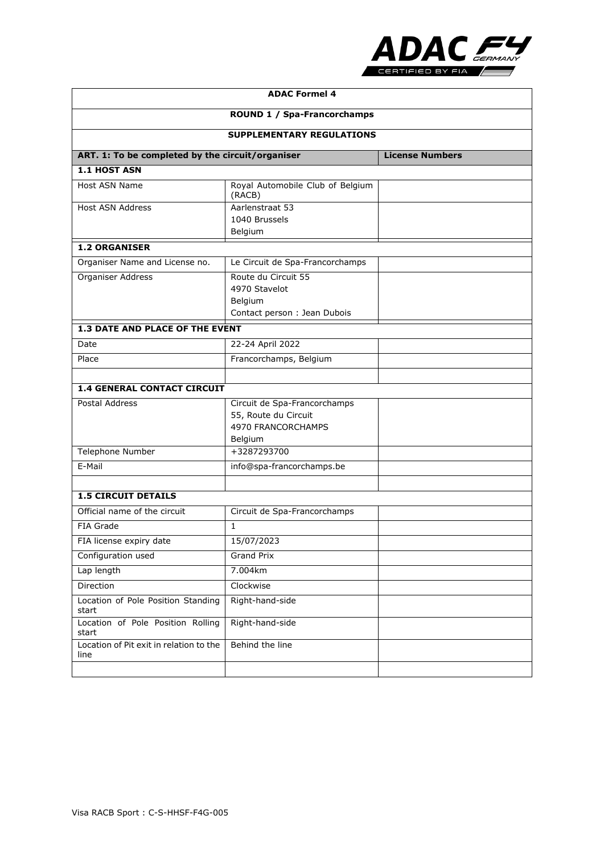

| <b>ADAC Formel 4</b><br><b>ROUND 1 / Spa-Francorchamps</b><br><b>SUPPLEMENTARY REGULATIONS</b> |                                                                                       |  |  |                                                  |  |                        |
|------------------------------------------------------------------------------------------------|---------------------------------------------------------------------------------------|--|--|--------------------------------------------------|--|------------------------|
|                                                                                                |                                                                                       |  |  | ART. 1: To be completed by the circuit/organiser |  | <b>License Numbers</b> |
|                                                                                                |                                                                                       |  |  | 1.1 HOST ASN                                     |  |                        |
| Host ASN Name                                                                                  | Royal Automobile Club of Belgium<br>(RACB)                                            |  |  |                                                  |  |                        |
| <b>Host ASN Address</b>                                                                        | Aarlenstraat 53<br>1040 Brussels<br>Belgium                                           |  |  |                                                  |  |                        |
| <b>1.2 ORGANISER</b>                                                                           |                                                                                       |  |  |                                                  |  |                        |
| Organiser Name and License no.                                                                 | Le Circuit de Spa-Francorchamps                                                       |  |  |                                                  |  |                        |
| Organiser Address                                                                              | Route du Circuit 55<br>4970 Stavelot<br>Belgium<br>Contact person : Jean Dubois       |  |  |                                                  |  |                        |
| 1.3 DATE AND PLACE OF THE EVENT                                                                |                                                                                       |  |  |                                                  |  |                        |
| Date                                                                                           | 22-24 April 2022                                                                      |  |  |                                                  |  |                        |
| Place                                                                                          | Francorchamps, Belgium                                                                |  |  |                                                  |  |                        |
|                                                                                                |                                                                                       |  |  |                                                  |  |                        |
| <b>1.4 GENERAL CONTACT CIRCUIT</b>                                                             |                                                                                       |  |  |                                                  |  |                        |
| <b>Postal Address</b>                                                                          | Circuit de Spa-Francorchamps<br>55, Route du Circuit<br>4970 FRANCORCHAMPS<br>Belgium |  |  |                                                  |  |                        |
| <b>Telephone Number</b>                                                                        | +3287293700                                                                           |  |  |                                                  |  |                        |
| E-Mail                                                                                         | info@spa-francorchamps.be                                                             |  |  |                                                  |  |                        |
|                                                                                                |                                                                                       |  |  |                                                  |  |                        |
| <b>1.5 CIRCUIT DETAILS</b><br>Official name of the circuit                                     |                                                                                       |  |  |                                                  |  |                        |
| FIA Grade                                                                                      | Circuit de Spa-Francorchamps<br>$\mathbf{1}$                                          |  |  |                                                  |  |                        |
| FIA license expiry date                                                                        | 15/07/2023                                                                            |  |  |                                                  |  |                        |
| Configuration used                                                                             | <b>Grand Prix</b>                                                                     |  |  |                                                  |  |                        |
| Lap length                                                                                     | 7.004km                                                                               |  |  |                                                  |  |                        |
| Direction                                                                                      | Clockwise                                                                             |  |  |                                                  |  |                        |
| Location of Pole Position Standing<br>start                                                    | Right-hand-side                                                                       |  |  |                                                  |  |                        |
| Location of Pole Position Rolling<br>start                                                     | Right-hand-side                                                                       |  |  |                                                  |  |                        |
| Location of Pit exit in relation to the<br>line                                                | Behind the line                                                                       |  |  |                                                  |  |                        |
|                                                                                                |                                                                                       |  |  |                                                  |  |                        |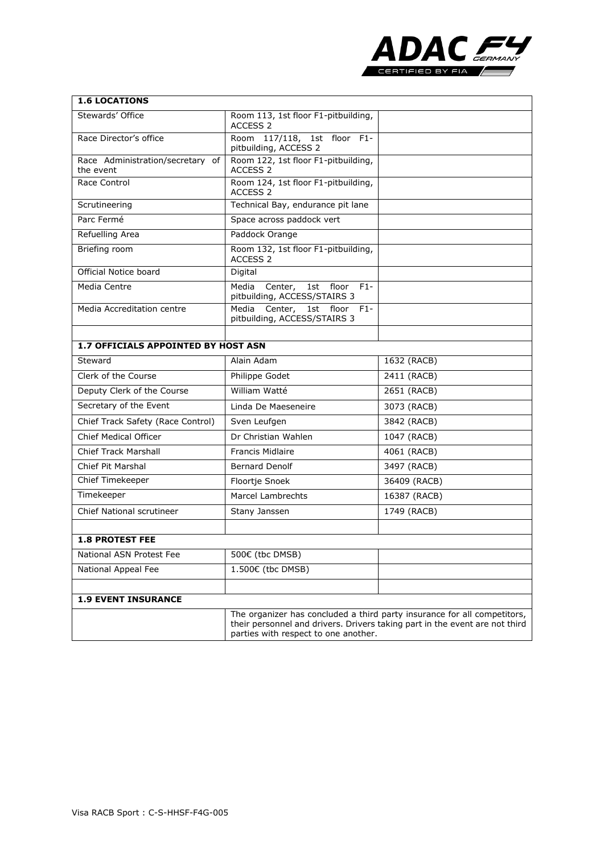

| <b>1.6 LOCATIONS</b>                             |                                                                                                                                                                                                 |              |  |  |
|--------------------------------------------------|-------------------------------------------------------------------------------------------------------------------------------------------------------------------------------------------------|--------------|--|--|
| Stewards' Office                                 | Room 113, 1st floor F1-pitbuilding,<br>ACCESS 2                                                                                                                                                 |              |  |  |
| Race Director's office                           | Room 117/118, 1st floor F1-<br>pitbuilding, ACCESS 2                                                                                                                                            |              |  |  |
| Race Administration/secretary<br>of<br>the event | Room 122, 1st floor F1-pitbuilding,<br>ACCESS <sub>2</sub>                                                                                                                                      |              |  |  |
| Race Control                                     | Room 124, 1st floor F1-pitbuilding,<br>ACCESS 2                                                                                                                                                 |              |  |  |
| Scrutineering                                    | Technical Bay, endurance pit lane                                                                                                                                                               |              |  |  |
| Parc Fermé                                       | Space across paddock vert                                                                                                                                                                       |              |  |  |
| Refuelling Area                                  | Paddock Orange                                                                                                                                                                                  |              |  |  |
| Briefing room                                    | Room 132, 1st floor F1-pitbuilding,<br>ACCESS 2                                                                                                                                                 |              |  |  |
| Official Notice board                            | Digital                                                                                                                                                                                         |              |  |  |
| Media Centre                                     | Media<br>Center, 1st floor<br>$F1-$<br>pitbuilding, ACCESS/STAIRS 3                                                                                                                             |              |  |  |
| Media Accreditation centre                       | Media Center, 1st floor<br>$F1 -$<br>pitbuilding, ACCESS/STAIRS 3                                                                                                                               |              |  |  |
|                                                  |                                                                                                                                                                                                 |              |  |  |
| 1.7 OFFICIALS APPOINTED BY HOST ASN              |                                                                                                                                                                                                 |              |  |  |
| Steward                                          | Alain Adam                                                                                                                                                                                      | 1632 (RACB)  |  |  |
| Clerk of the Course                              | Philippe Godet                                                                                                                                                                                  | 2411 (RACB)  |  |  |
| Deputy Clerk of the Course                       | William Watté                                                                                                                                                                                   | 2651 (RACB)  |  |  |
| Secretary of the Event                           | Linda De Maeseneire                                                                                                                                                                             | 3073 (RACB)  |  |  |
| Chief Track Safety (Race Control)                | Sven Leufgen                                                                                                                                                                                    | 3842 (RACB)  |  |  |
| <b>Chief Medical Officer</b>                     | Dr Christian Wahlen                                                                                                                                                                             | 1047 (RACB)  |  |  |
| <b>Chief Track Marshall</b>                      | <b>Francis Midlaire</b>                                                                                                                                                                         | 4061 (RACB)  |  |  |
| <b>Chief Pit Marshal</b>                         | <b>Bernard Denolf</b>                                                                                                                                                                           | 3497 (RACB)  |  |  |
| Chief Timekeeper                                 | Floortje Snoek                                                                                                                                                                                  | 36409 (RACB) |  |  |
| Timekeeper                                       | Marcel Lambrechts                                                                                                                                                                               | 16387 (RACB) |  |  |
| <b>Chief National scrutineer</b>                 | Stany Janssen                                                                                                                                                                                   | 1749 (RACB)  |  |  |
| <b>1.8 PROTEST FEE</b>                           |                                                                                                                                                                                                 |              |  |  |
| National ASN Protest Fee                         | 500€ (tbc DMSB)                                                                                                                                                                                 |              |  |  |
| National Appeal Fee                              | 1.500€ (tbc DMSB)                                                                                                                                                                               |              |  |  |
|                                                  |                                                                                                                                                                                                 |              |  |  |
| <b>1.9 EVENT INSURANCE</b>                       |                                                                                                                                                                                                 |              |  |  |
|                                                  | The organizer has concluded a third party insurance for all competitors,<br>their personnel and drivers. Drivers taking part in the event are not third<br>parties with respect to one another. |              |  |  |